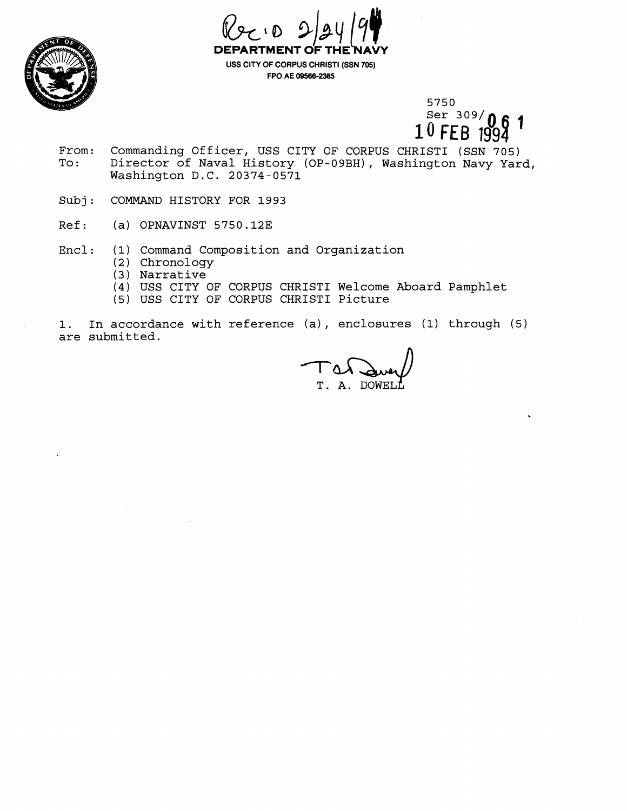



**USS CITY OF CORPUS CHRIST1 (SSN 705) FPO AE 095862385** 

> 5750 Ser  $309/$   $\Omega$ 1  $10$ FEB

- From: Commanding Officer, USS CITY OF CORPUS CHRISTI (SSN 705)<br>To: Director of Naval History (OP-09BH), Washington Navy Yar Director of Naval History (OP-09BH), Washington Navy Yard, Washington D.C. 20374-0571
- Subj: COMMAND HISTORY FOR 1993
- Ref: (a) OPNAVINST 5750.12E
- Encl: (1) Command Composition and Organization
	- (2) Chronology
	- (3) Narrative
	- (4) USS CITY OF CORPUS CHRIST1 Welcome Aboard Pamphlet
	- (5) USS CITY OF CORPUS CHRIST1 Picture

1. In accordance with reference (a), enclosures (1) through (5) are submitted.

T. A. DOWEL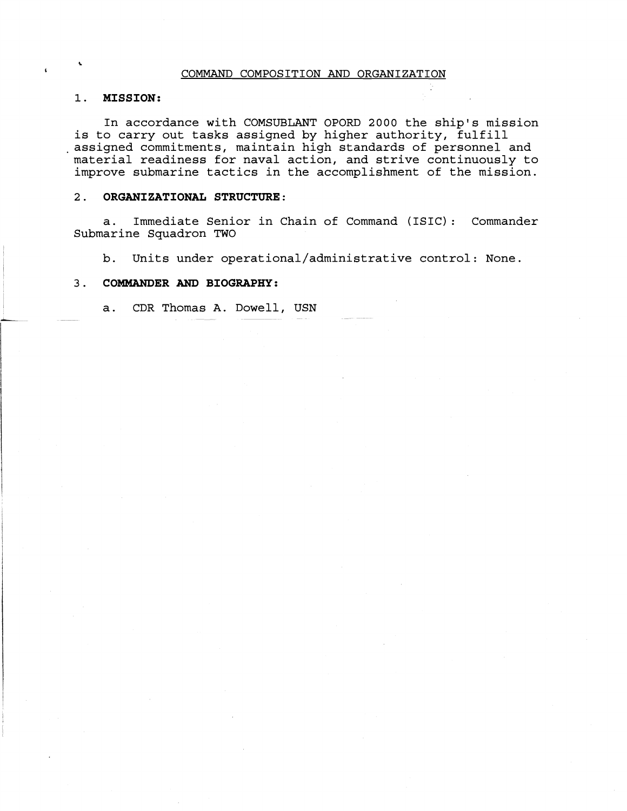## COMMAND COMPOSITION AND ORGANIZATION

# **1. MISSION:**

In accordance with COMSUBLANT OPORD 2000 the ship's mission is to carry out tasks assigned by higher authority, fulfill .assigned commitments, maintain high standards of personnel and material readiness for naval action, and strive continuously to improve submarine tactics in the accomplishment of the mission.

## 2. **ORGANIZATIONAL STRUCTURE:**

a. Immediate Senior in Chain of Command (ISIC) : Commander Submarine Squadron TWO

b. Units under **operational/administrative** control: None.

# **3. COMMANDER AND BIOGRAPHY:**

a. CDR Thomas A. Dowell, USN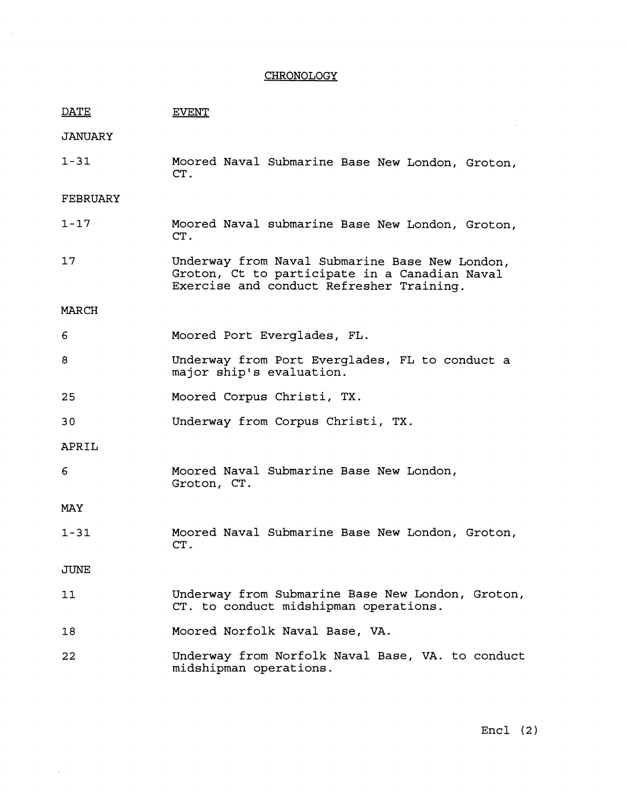# **CHRONOLOGY**

 $\sim$   $\sim$ 

 $\sim 10^{-10}$ 

| DATE           | <b>EVENT</b>                                                                                                                                |
|----------------|---------------------------------------------------------------------------------------------------------------------------------------------|
| <b>JANUARY</b> |                                                                                                                                             |
| $1 - 31$       | Moored Naval Submarine Base New London, Groton,<br>CT.                                                                                      |
| FEBRUARY       |                                                                                                                                             |
| $1 - 17$       | Moored Naval submarine Base New London, Groton,<br>CT.                                                                                      |
| 17             | Underway from Naval Submarine Base New London,<br>Groton, Ct to participate in a Canadian Naval<br>Exercise and conduct Refresher Training. |
| MARCH          |                                                                                                                                             |
| 6              | Moored Port Everglades, FL.                                                                                                                 |
| 8              | Underway from Port Everglades, FL to conduct a<br>major ship's evaluation.                                                                  |
| 25             | Moored Corpus Christi, TX.                                                                                                                  |
| 30             | Underway from Corpus Christi, TX.                                                                                                           |
| APRIL          |                                                                                                                                             |
| 6              | Moored Naval Submarine Base New London,<br>Groton, CT.                                                                                      |
| MAY            |                                                                                                                                             |
| $1 - 31$       | Moored Naval Submarine Base New London, Groton,<br>CT.                                                                                      |
| JUNE           |                                                                                                                                             |
| 11             | Underway from Submarine Base New London, Groton,<br>CT. to conduct midshipman operations.                                                   |
| 18             | Moored Norfolk Naval Base, VA.                                                                                                              |
| 22             | Underway from Norfolk Naval Base, VA. to conduct<br>midshipman operations.                                                                  |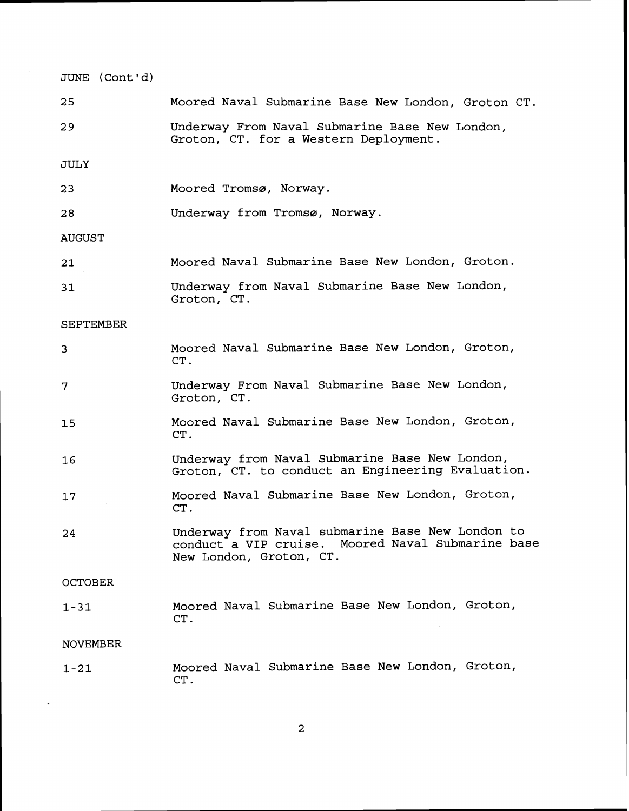| JUNE (Cont'd)    |                                                                                                                                  |
|------------------|----------------------------------------------------------------------------------------------------------------------------------|
| 25               | Moored Naval Submarine Base New London, Groton CT.                                                                               |
| 29               | Underway From Naval Submarine Base New London,<br>Groton, CT. for a Western Deployment.                                          |
| JULY             |                                                                                                                                  |
| 23               | Moored Tromsø, Norway.                                                                                                           |
| 28               | Underway from Tromsø, Norway.                                                                                                    |
| <b>AUGUST</b>    |                                                                                                                                  |
| 21               | Moored Naval Submarine Base New London, Groton.                                                                                  |
| 31               | Underway from Naval Submarine Base New London,<br>Groton, CT.                                                                    |
| <b>SEPTEMBER</b> |                                                                                                                                  |
| 3                | Moored Naval Submarine Base New London, Groton,<br>CT.                                                                           |
| 7                | Underway From Naval Submarine Base New London,<br>Groton, CT.                                                                    |
| 15               | Moored Naval Submarine Base New London, Groton,<br>CT.                                                                           |
| 16               | Underway from Naval Submarine Base New London,<br>Groton, CT. to conduct an Engineering Evaluation.                              |
| 17               | Moored Naval Submarine Base New London, Groton,<br>CT.                                                                           |
| 24               | Underway from Naval submarine Base New London to<br>conduct a VIP cruise. Moored Naval Submarine base<br>New London, Groton, CT. |
| <b>OCTOBER</b>   |                                                                                                                                  |
| $1 - 31$         | Moored Naval Submarine Base New London, Groton,<br>CT.                                                                           |
| <b>NOVEMBER</b>  |                                                                                                                                  |
| $1 - 21$         | Moored Naval Submarine Base New London, Groton,<br>CT.                                                                           |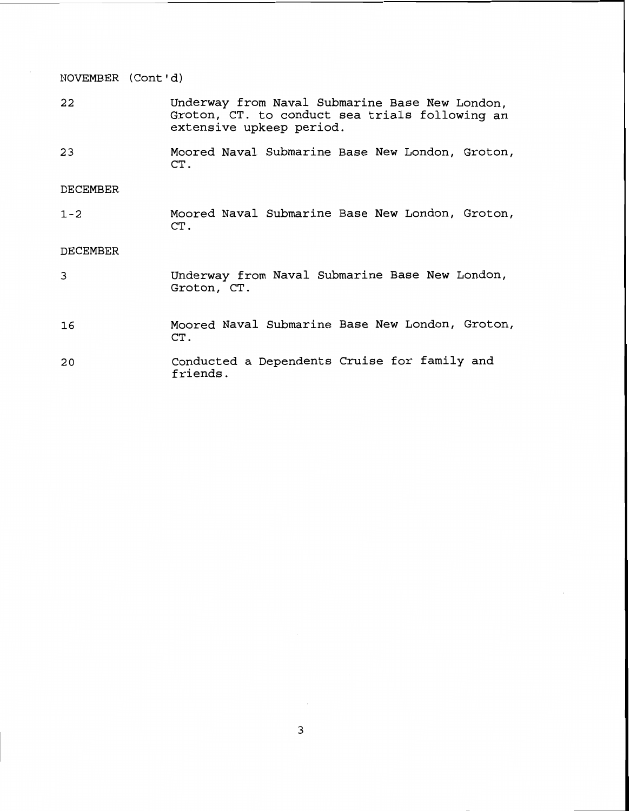NOVEMBER (Cont 'd)

- 22 Underway from Naval Submarine Base New London, Groton, CT. to conduct sea trials following an extensive upkeep period.
- Moored Naval Submarine Base New London, Groton, 23

DECEMBER

 $1 - 2$ Moored Naval Submarine Base New London, Groton, CT .

# DECEMBER

| 3  | Underway from Naval Submarine Base New London,<br>Groton, CT. |
|----|---------------------------------------------------------------|
| 16 | Moored Naval Submarine Base New London, Groton,<br>CT.        |
| 20 | Conducted a Dependents Cruise for family and<br>friends.      |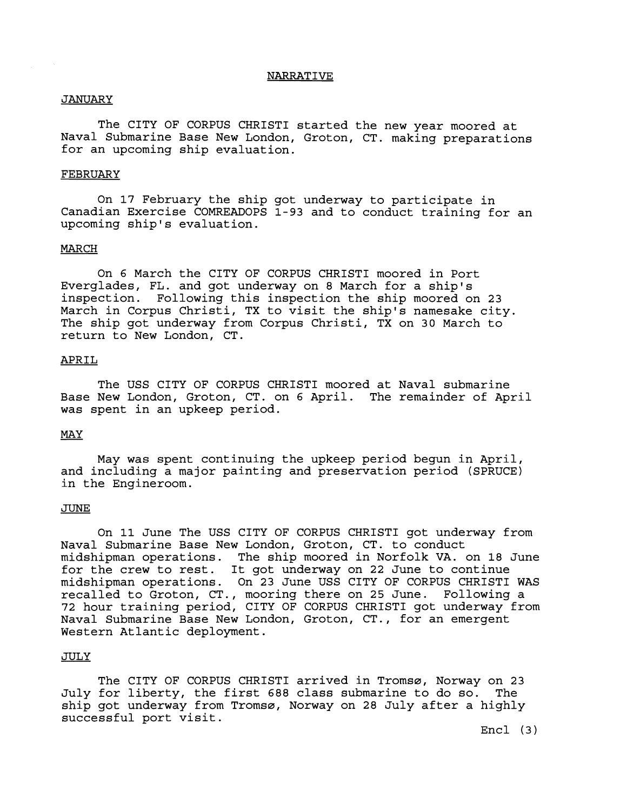### NARRATIVE

#### JANUARY

The CITY OF CORPUS CHRIST1 started the new year moored at Naval Submarine Base New London, Groton, CT. making preparations for an upcoming ship evaluation.

#### FEBRUARY

On 17 February the ship got underway to participate in Canadian Exercise COMREADOPS **1-93** and to conduct training for an upcoming ship's evaluation.

#### **MARCH**

On **6** March the CITY OF CORPUS CHRIST1 moored in Port Everglades, FL. and got underway on **8** March for a ship's inspection. Following this inspection the ship moored on **23**  March in Corpus Christi, TX to visit the ship's namesake city. The ship got underway from Corpus Christi, TX on 30 March to return to New London, CT.

## APRIL

The USS CITY OF CORPUS CHRIST1 moored at Naval submarine Base New London, Groton, CT. on **6** April. The remainder of April was spent in an upkeep period.

# **MAY**

May was spent continuing the upkeep period begun in April, and including a major painting and preservation period (SPRUCE) in the Engineroom.

#### JUNE

On 11 June The USS CITY OF CORPUS CHRIST1 got underway from Naval Submarine Base New London, Groton, CT. to conduct midshipman operations. The ship moored in Norfolk VA. on **18** June for the crew to rest. It got underway on 22 June to continue midshipman operations. On **23** June USS CITY OF CORPUS CHRIST1 WAS recalled to Groton, CT., mooring there on **25** June. Following a 72 hour training period, CITY OF CORPUS CHRIST1 got underway from Naval Submarine Base New London, Groton, CT., for an emergent Western Atlantic deployment.

# JULY

The CITY OF CORPUS CHRISTI arrived in Tromsø, Norway on 23<br>for liberty, the first 688 class submarine to do so. The July for liberty, the first 688 class submarine to do so. ship got underway from Tromsø, Norway on 28 July after a highly successful port visit.

Encl (3)